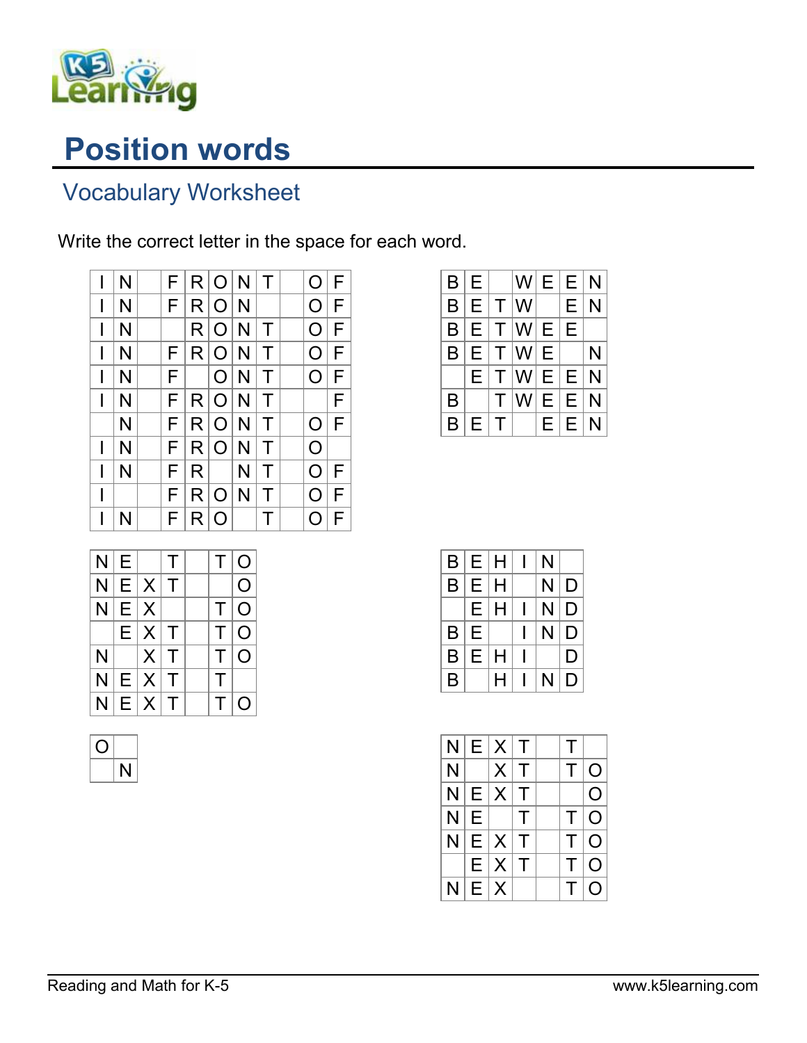

## Position words

## Vocabulary Worksheet

Write the correct letter in the space for each word.

|   | N | F |    | R O N          |   | $\top$ | O | F |
|---|---|---|----|----------------|---|--------|---|---|
| I | N | F |    | R O N          |   |        | O | F |
| I | N |   |    | R O N          |   | Τ      | O | F |
| I | N | F |    | R O N          |   | Τ      | O | F |
| I | N | F |    | $\overline{O}$ | N | $\top$ | O | F |
| I | N | F |    | R O            | N | Τ      |   | F |
|   | N | F |    | R O            | N | T      | O | F |
| I | N | F |    | R O            | N | Τ      | O |   |
| I | N | F | R. |                | N | Т      | O | F |
| I |   | F |    | R O            | N | $\top$ | O | F |
| I | N | F |    | R O            |   | Τ      |   | F |

| N | E |          | $\top$ | T. | $\overline{O}$ |
|---|---|----------|--------|----|----------------|
| N |   | $E X $ T |        |    | $\Omega$       |
| N |   | E X      |        | T. | $\overline{O}$ |
|   |   | $E X $ T |        | T. | $\Omega$       |
| N |   | $X$ T    |        | T. | $\Omega$       |
| N |   | $E X $ T |        | т  |                |
| N |   | $E X $ T |        | T. | O              |

|      |               |                      |       | W E E N                                   |
|------|---------------|----------------------|-------|-------------------------------------------|
| l El | T W           |                      | E     | N                                         |
|      |               |                      | E     |                                           |
|      |               |                      |       | N                                         |
|      |               |                      |       | N                                         |
|      |               |                      |       | N                                         |
|      |               |                      | E     | N                                         |
|      | E.<br>E<br>F. | $T^{\parallel}$<br>Τ | T W E | $ E $ T $ W E $<br> T W E E<br>W E E<br>E |

| B | E | Н | N |   |
|---|---|---|---|---|
| B | Е | Н | N | D |
|   | E | н | N | D |
| B | E |   | N | D |
| B | E | H |   | D |
| B |   | н | N | D |

| N |   | E X T                    |        | Τ  |            |
|---|---|--------------------------|--------|----|------------|
| N |   | $ X $ T                  |        | Τ  | $\Omega$   |
|   |   | $N$ $E$ $X$ $T$          |        |    | O          |
| N | E |                          | $\top$ | T. | $\Omega$   |
|   |   | $N \mid E \mid X \mid T$ |        |    | $T \Omega$ |
|   |   | $E X $ T                 |        | T. | $\Omega$   |
| N |   | E X                      |        | T. | O          |